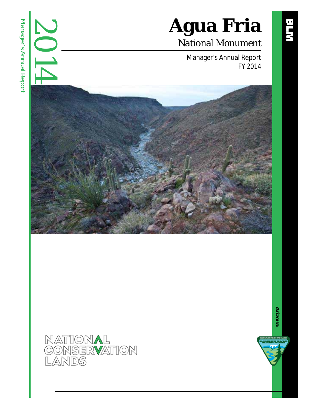

Manager's Annual Report FY 2014



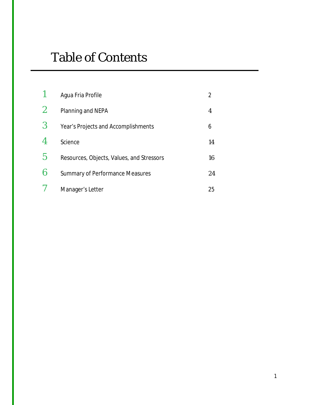## Table of Contents

|                  | Agua Fria Profile                         |    |
|------------------|-------------------------------------------|----|
| $\boldsymbol{2}$ | Planning and NEPA                         | 4  |
| 3                | Year's Projects and Accomplishments       | 6  |
|                  | Science                                   | 14 |
| 5                | Resources, Objects, Values, and Stressors | 16 |
| 6                | <b>Summary of Performance Measures</b>    | 24 |
|                  | Manager's Letter                          | 25 |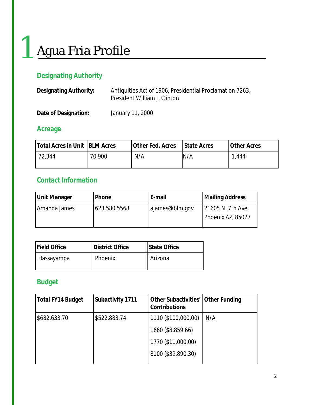## **Designating Authority**

| Designating Authority: | Antiquities Act of 1906, Presidential Proclamation 7263, |
|------------------------|----------------------------------------------------------|
|                        | President William J. Clinton                             |
|                        |                                                          |

**Date of Designation:** January 11, 2000

## **Acreage**

1

| Total Acres in Unit   BLM Acres |        | <b>Other Fed. Acres</b> | State Acres | <b>Other Acres</b> |
|---------------------------------|--------|-------------------------|-------------|--------------------|
| 72,344                          | 70,900 | N/A                     | N/A         | ,444               |

## **Contact Information**

| Unit Manager | Phone        | E-mail         | <b>Mailing Address</b>                 |
|--------------|--------------|----------------|----------------------------------------|
| Amanda James | 623.580.5568 | ajames@blm.gov | 21605 N. 7th Ave.<br>Phoenix AZ, 85027 |

| <b>Field Office</b> | <b>District Office</b> | l State Office |
|---------------------|------------------------|----------------|
| Hassayampa          | Phoenix                | Arizona        |

## **Budget**

| Total FY14 Budget | Subactivity 1711 | Other Subactivities' Other Funding<br>Contributions |     |
|-------------------|------------------|-----------------------------------------------------|-----|
| \$682,633.70      | \$522,883.74     | 1110 (\$100,000.00)                                 | N/A |
|                   |                  | 1660 (\$8,859.66)                                   |     |
|                   |                  | 1770 (\$11,000.00)                                  |     |
|                   |                  | 8100 (\$39,890.30)                                  |     |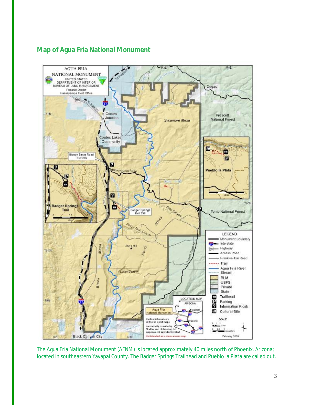## **Map of Agua Fria National Monument**



The Agua Fria National Monument (AFNM) is located approximately 40 miles north of Phoenix, Arizona; located in southeastern Yavapai County. The Badger Springs Trailhead and Pueblo la Plata are called out.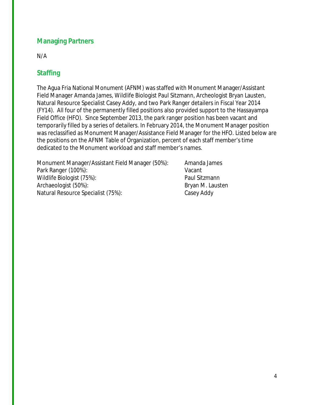## **Managing Partners**

N/A

## **Staffing**

The Agua Fria National Monument (AFNM) was staffed with Monument Manager/Assistant Field Manager Amanda James, Wildlife Biologist Paul Sitzmann, Archeologist Bryan Lausten, Natural Resource Specialist Casey Addy, and two Park Ranger detailers in Fiscal Year 2014 (FY14). All four of the permanently filled positions also provided support to the Hassayampa Field Office (HFO). Since September 2013, the park ranger position has been vacant and temporarily filled by a series of detailers. In February 2014, the Monument Manager position was reclassified as Monument Manager/Assistance Field Manager for the HFO. Listed below are the positions on the AFNM Table of Organization, percent of each staff member's time dedicated to the Monument workload and staff member's names.

Monument Manager/Assistant Field Manager (50%): Amanda James Park Ranger (100%): Vacant Wildlife Biologist (75%): Wildlife Biologist (75%): Archaeologist (50%): Bryan M. Lausten Natural Resource Specialist (75%): Casey Addy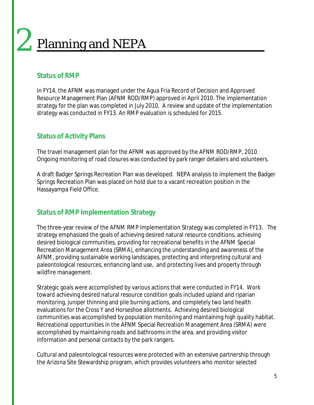## Planning and NEPA 2

#### **Status of RMP**

In FY14, the AFNM was managed under the Agua Fria Record of Decision and Approved Resource Management Plan (AFNM ROD/RMP) approved in April 2010. The implementation strategy for the plan was completed in July 2010. A review and update of the implementation strategy was conducted in FY13. An RMP evaluation is scheduled for 2015.

#### **Status of Activity Plans**

The travel management plan for the AFNM was approved by the AFNM ROD/RMP, 2010. Ongoing monitoring of road closures was conducted by park ranger detailers and volunteers.

A draft Badger Springs Recreation Plan was developed. NEPA analysis to implement the Badger Springs Recreation Plan was placed on hold due to a vacant recreation position in the Hassayampa Field Office.

#### **Status of RMP Implementation Strategy**

The three-year review of the AFNM RMP Implementation Strategy was completed in FY13. The strategy emphasized the goals of achieving desired natural resource conditions, achieving desired biological communities, providing for recreational benefits in the AFNM Special Recreation Management Area (SRMA), enhancing the understanding and awareness of the AFNM, providing sustainable working landscapes, protecting and interpreting cultural and paleontological resources, enhancing land use, and protecting lives and property through wildfire management.

Strategic goals were accomplished by various actions that were conducted in FY14. Work toward achieving desired natural resource condition goals included upland and riparian monitoring, juniper thinning and pile burning actions, and completely two land health evaluations for the Cross Y and Horseshoe allotments. Achieving desired biological communities was accomplished by population monitoring and maintaining high quality habitat. Recreational opportunities in the AFNM Special Recreation Management Area (SRMA) were accomplished by maintaining roads and bathrooms in the area, and providing visitor information and personal contacts by the park rangers.

Cultural and paleontological resources were protected with an extensive partnership through the Arizona Site Stewardship program, which provides volunteers who monitor selected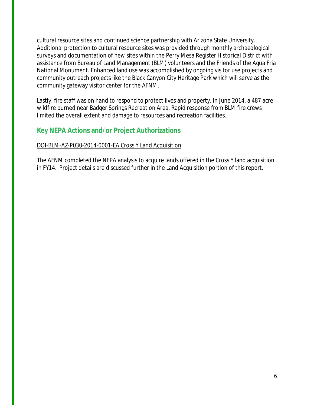cultural resource sites and continued science partnership with Arizona State University. Additional protection to cultural resource sites was provided through monthly archaeological surveys and documentation of new sites within the Perry Mesa Register Historical District with assistance from Bureau of Land Management (BLM) volunteers and the Friends of the Agua Fria National Monument. Enhanced land use was accomplished by ongoing visitor use projects and community outreach projects like the Black Canyon City Heritage Park which will serve as the community gateway visitor center for the AFNM.

Lastly, fire staff was on hand to respond to protect lives and property. In June 2014, a 487 acre wildfire burned near Badger Springs Recreation Area. Rapid response from BLM fire crews limited the overall extent and damage to resources and recreation facilities.

#### **Key NEPA Actions and/or Project Authorizations**

#### DOI-BLM-AZ-P030-2014-0001-EA Cross Y Land Acquisition

The AFNM completed the NEPA analysis to acquire lands offered in the Cross Y land acquisition in FY14. Project details are discussed further in the Land Acquisition portion of this report.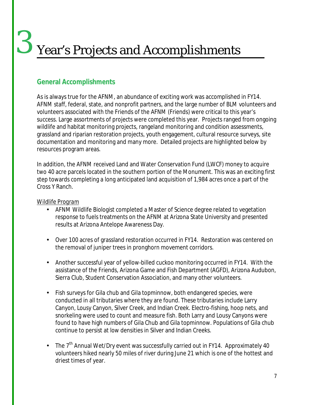# Year's Projects and Accomplishments 3

## **General Accomplishments**

As is always true for the AFNM, an abundance of exciting work was accomplished in FY14. AFNM staff, federal, state, and nonprofit partners, and the large number of BLM volunteers and volunteers associated with the Friends of the AFNM (Friends) were critical to this year's success. Large assortments of projects were completed this year. Projects ranged from ongoing wildlife and habitat monitoring projects, rangeland monitoring and condition assessments, grassland and riparian restoration projects, youth engagement, cultural resource surveys, site documentation and monitoring and many more. Detailed projects are highlighted below by resources program areas.

In addition, the AFNM received Land and Water Conservation Fund (LWCF) money to acquire two 40 acre parcels located in the southern portion of the Monument. This was an exciting first step towards completing a long anticipated land acquisition of 1,984 acres once a part of the Cross Y Ranch.

#### *Wildlife Program*

- AFNM Wildlife Biologist completed a Master of Science degree related to vegetation response to fuels treatments on the AFNM at Arizona State University and presented results at Arizona Antelope Awareness Day.
- Over 100 acres of grassland restoration occurred in FY14. Restoration was centered on the removal of juniper trees in pronghorn movement corridors.
- Another successful year of yellow-billed cuckoo monitoring occurred in FY14. With the assistance of the Friends, Arizona Game and Fish Department (AGFD), Arizona Audubon, Sierra Club, Student Conservation Association, and many other volunteers.
- Fish surveys for Gila chub and Gila topminnow, both endangered species, were conducted in all tributaries where they are found. These tributaries include Larry Canyon, Lousy Canyon, Silver Creek, and Indian Creek. Electro-fishing, hoop nets, and snorkeling were used to count and measure fish. Both Larry and Lousy Canyons were found to have high numbers of Gila Chub and Gila topminnow. Populations of Gila chub continue to persist at low densities in Silver and Indian Creeks.
- The 7<sup>th</sup> Annual Wet/Dry event was successfully carried out in FY14. Approximately 40 volunteers hiked nearly 50 miles of river during June 21 which is one of the hottest and driest times of year.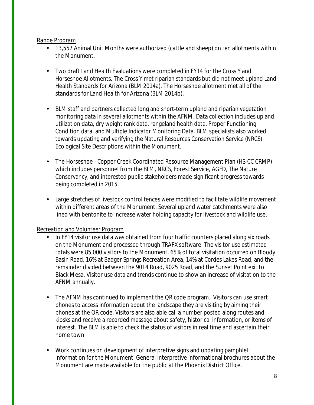#### *Range Program*

- 13,557 Animal Unit Months were authorized (cattle and sheep) on ten allotments within the Monument.
- Two draft Land Health Evaluations were completed in FY14 for the Cross Y and Horseshoe Allotments. The Cross Y met riparian standards but did not meet upland Land Health Standards for Arizona (BLM 2014a). The Horseshoe allotment met all of the standards for Land Health for Arizona (BLM 2014b).
- a. BLM staff and partners collected long and short-term upland and riparian vegetation monitoring data in several allotments within the AFNM. Data collection includes upland utilization data, dry weight rank data, rangeland health data, Proper Functioning Condition data, and Multiple Indicator Monitoring Data. BLM specialists also worked towards updating and verifying the Natural Resources Conservation Service (NRCS) Ecological Site Descriptions within the Monument.
- The Horseshoe Copper Creek Coordinated Resource Management Plan (HS-CC CRMP) which includes personnel from the BLM, NRCS, Forest Service, AGFD, The Nature Conservancy, and interested public stakeholders made significant progress towards being completed in 2015.
- Large stretches of livestock control fences were modified to facilitate wildlife movement within different areas of the Monument. Several upland water catchments were also lined with bentonite to increase water holding capacity for livestock and wildlife use.

#### *Recreation and Volunteer Program*

- In FY14 visitor use data was obtained from four traffic counters placed along six roads on the Monument and processed through TRAFX software. The visitor use estimated totals were 85,000 visitors to the Monument. 65% of total visitation occurred on Bloody Basin Road, 16% at Badger Springs Recreation Area, 14% at Cordes Lakes Road, and the remainder divided between the 9014 Road, 9025 Road, and the Sunset Point exit to Black Mesa. Visitor use data and trends continue to show an increase of visitation to the AFNM annually.
- The AFNM has continued to implement the QR code program. Visitors can use smart phones to access information about the landscape they are visiting by aiming their phones at the QR code. Visitors are also able call a number posted along routes and kiosks and receive a recorded message about safety, historical information, or items of interest. The BLM is able to check the status of visitors in real time and ascertain their home town.
- Work continues on development of interpretive signs and updating pamphlet information for the Monument. General interpretive informational brochures about the Monument are made available for the public at the Phoenix District Office.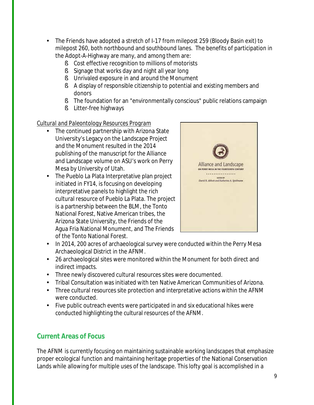- The Friends have adopted a stretch of I-17 from milepost 259 (Bloody Basin exit) to milepost 260, both northbound and southbound lanes. The benefits of participation in the Adopt-A-Highway are many, and among them are:
	- § Cost effective recognition to millions of motorists
	- § Signage that works day and night all year long
	- **§** Unrivaled exposure in and around the Monument
	- § A display of responsible citizenship to potential and existing members and donors
	- § The foundation for an "environmentally conscious" public relations campaign
	- § Litter-free highways

#### *Cultural and Paleontology Resources Program*

- The continued partnership with Arizona State University's Legacy on the Landscape Project and the Monument resulted in the 2014 publishing of the manuscript for the Alliance and Landscape volume on ASU's work on Perry Mesa by University of Utah.
- The Pueblo La Plata Interpretative plan project a. initiated in FY14, is focusing on developing interpretative panels to highlight the rich cultural resource of Pueblo La Plata. The project is a partnership between the BLM, the Tonto National Forest, Native American tribes, the Arizona State University, the Friends of the Agua Fria National Monument, and The Friends of the Tonto National Forest.



- In 2014, 200 acres of archaeological survey were conducted within the Perry Mesa Archaeological District in the AFNM.
- 26 archaeological sites were monitored within the Monument for both direct and  $\mathbb{R}^{\mathbb{Z}}$ indirect impacts.
- Three newly discovered cultural resources sites were documented.
- Tribal Consultation was initiated with ten Native American Communities of Arizona.
- Three cultural resources site protection and interpretative actions within the AFNM were conducted.
- Five public outreach events were participated in and six educational hikes were conducted highlighting the cultural resources of the AFNM.

## **Current Areas of Focus**

The AFNM is currently focusing on maintaining sustainable working landscapes that emphasize proper ecological function and maintaining heritage properties of the National Conservation Lands while allowing for multiple uses of the landscape. This lofty goal is accomplished in a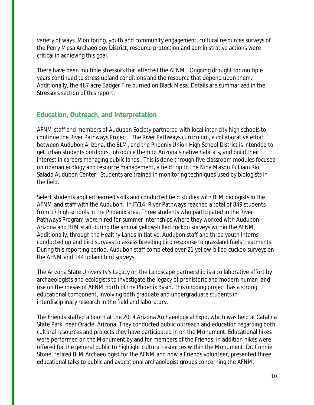variety of ways. Monitoring, youth and community engagement, cultural resources surveys of the Perry Mesa Archaeology District, resource protection and administrative actions were critical in achieving this goal.

There have been multiple stressors that affected the AFNM. Ongoing drought for multiple years continued to stress upland conditions and the resource that depend upon them. Additionally, the 487 acre Badger Fire burned on Black Mesa. Details are summarized in the Stressors section of this report.

### **Education, Outreach, and Interpretation**

AFNM staff and members of Audubon Society partnered with local inter-city high schools to continue the River Pathways Project. The River Pathways curriculum, a collaborative effort between Audubon Arizona, the BLM, and the Phoenix Union High School District is intended to get urban students outdoors, introduce them to Arizona's native habitats, and build their interest in careers managing public lands. This is done through five classroom modules focused on riparian ecology and resource management, a field trip to the Nina Mason Pulliam Rio Salado Audubon Center. Students are trained in monitoring techniques used by biologists in the field.

Select students applied learned skills and conducted field studies with BLM biologists in the AFNM and staff with the Audubon. In FY14, River Pathways reached a total of 849 students from 17 high schools in the Phoenix area. Three students who participated in the River Pathways Program were hired for summer internships where they worked with Audubon Arizona and BLM staff during the annual yellow-billed cuckoo surveys within the AFNM. Additionally, through the Healthy Lands Initiative, Audubon staff and three youth interns conducted upland bird surveys to assess breeding bird response to grassland fuels treatments. During this reporting period, Audubon staff completed over 21 yellow-billed cuckoo surveys on the AFNM and 144 upland bird surveys.

The Arizona State University's Legacy on the Landscape partnership is a collaborative effort by archaeologists and ecologists to investigate the legacy of prehistoric and modern human land use on the mesas of AFNM north of the Phoenix Basin. This ongoing project has a strong educational component, involving both graduate and undergraduate students in interdisciplinary research in the field and laboratory.

The Friends staffed a booth at the 2014 Arizona Archaeological Expo, which was held at Catalina State Park, near Oracle, Arizona. They conducted public outreach and education regarding both cultural resources and projects they have participated in on the Monument. Educational hikes were performed on the Monument by and for members of the Friends, in addition hikes were offered for the general public to highlight cultural resources within the Monument. Dr. Connie Stone, retired BLM Archaeologist for the AFNM and now a Friends volunteer, presented three educational talks to public and avocational archaeologist groups concerning the AFNM.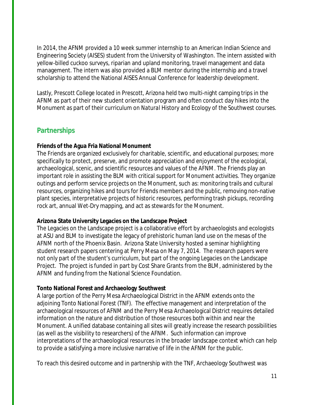In 2014, the AFNM provided a 10 week summer internship to an American Indian Science and Engineering Society (AISES) student from the University of Washington. The intern assisted with yellow-billed cuckoo surveys, riparian and upland monitoring, travel management and data management. The intern was also provided a BLM mentor during the internship and a travel scholarship to attend the National AISES Annual Conference for leadership development.

Lastly, Prescott College located in Prescott, Arizona held two multi-night camping trips in the AFNM as part of their new student orientation program and often conduct day hikes into the Monument as part of their curriculum on *Natural History and Ecology of the Southwest* courses.

#### **Partnerships**

#### **Friends of the Agua Fria National Monument**

The Friends are organized exclusively for charitable, scientific, and educational purposes; more specifically to protect, preserve, and promote appreciation and enjoyment of the ecological, archaeological, scenic, and scientific resources and values of the AFNM. The Friends play an important role in assisting the BLM with critical support for Monument activities. They organize outings and perform service projects on the Monument, such as: monitoring trails and cultural resources, organizing hikes and tours for Friends members and the public, removing non-native plant species, interpretative projects of historic resources, performing trash pickups, recording rock art, annual Wet-Dry mapping, and act as stewards for the Monument.

#### **Arizona State University Legacies on the Landscape Project**

The Legacies on the Landscape project is a collaborative effort by archaeologists and ecologists at ASU and BLM to investigate the legacy of prehistoric human land use on the mesas of the AFNM north of the Phoenix Basin. Arizona State University hosted a seminar highlighting student research papers centering at Perry Mesa on May 7, 2014. The research papers were not only part of the student's curriculum, but part of the ongoing Legacies on the Landscape Project. The project is funded in part by Cost Share Grants from the BLM, administered by the AFNM and funding from the National Science Foundation.

#### **Tonto National Forest and Archaeology Southwest**

A large portion of the Perry Mesa Archaeological District in the AFNM extends onto the adjoining Tonto National Forest (TNF). The effective management and interpretation of the archaeological resources of AFNM and the Perry Mesa Archaeological District requires detailed information on the nature and distribution of those resources both within and near the Monument. A unified database containing all sites will greatly increase the research possibilities (as well as the visibility to researchers) of the AFNM. Such information can improve interpretations of the archaeological resources in the broader landscape context which can help to provide a satisfying a more inclusive narrative of life in the AFNM for the public.

To reach this desired outcome and in partnership with the TNF, Archaeology Southwest was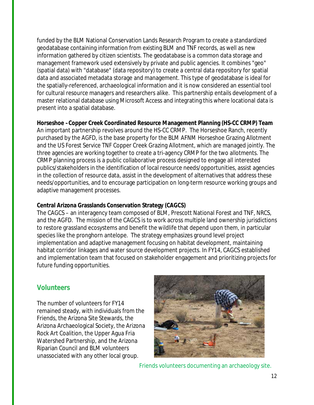funded by the BLM National Conservation Lands Research Program to create a standardized geodatabase containing information from existing BLM and TNF records, as well as new information gathered by citizen scientists. The geodatabase is a common data storage and management framework used extensively by private and public agencies. It combines "geo" (spatial data) with "database" (data repository) to create a central data repository for spatial data and associated metadata storage and management. This type of geodatabase is ideal for the spatially-referenced, archaeological information and it is now considered an essential tool for cultural resource managers and researchers alike. This partnership entails development of a master relational database using Microsoft Access and integrating this where locational data is present into a spatial database.

**Horseshoe –Copper Creek Coordinated Resource Management Planning (HS-CC CRMP) Team** An important partnership revolves around the HS-CC CRMP. The Horseshoe Ranch, recently purchased by the AGFD, is the base property for the BLM AFNM Horseshoe Grazing Allotment and the US Forest Service TNF Copper Creek Grazing Allotment, which are managed jointly. The three agencies are working together to create a tri-agency CRMP for the two allotments. The CRMP planning process is a public collaborative process designed to engage all interested publics/stakeholders in the identification of local resource needs/opportunities, assist agencies in the collection of resource data, assist in the development of alternatives that address these needs/opportunities, and to encourage participation on long-term resource working groups and adaptive management processes.

#### **Central Arizona Grasslands Conservation Strategy (CAGCS)**

The CAGCS – an interagency team composed of BLM, Prescott National Forest and TNF, NRCS, and the AGFD. The mission of the CAGCS is to work across multiple land ownership jurisdictions to restore grassland ecosystems and benefit the wildlife that depend upon them, in particular species like the pronghorn antelope. The strategy emphasizes ground level project implementation and adaptive management focusing on habitat development, maintaining habitat corridor linkages and water source development projects. In FY14, CAGCS established and implementation team that focused on stakeholder engagement and prioritizing projects for future funding opportunities.

#### **Volunteers**

The number of volunteers for FY14 remained steady, with individuals from the Friends, the Arizona Site Stewards, the Arizona Archaeological Society, the Arizona Rock Art Coalition, the Upper Agua Fria Watershed Partnership, and the Arizona Riparian Council and BLM volunteers unassociated with any other local group.



Friends volunteers documenting an archaeology site.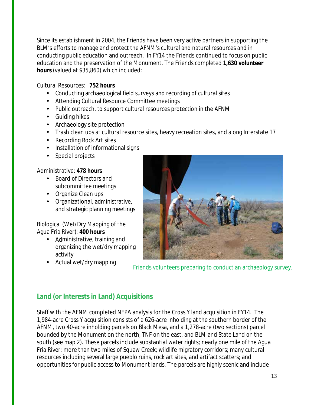Since its establishment in 2004, the Friends have been very active partners in supporting the BLM's efforts to manage and protect the AFNM's cultural and natural resources and in conducting public education and outreach. In FY14 the Friends continued to focus on public education and the preservation of the Monument. The Friends completed **1,630 volunteer hours** (valued at \$35,860) which included:

Cultural Resources: **752 hours**

- Conducting archaeological field surveys and recording of cultural sites
- Attending Cultural Resource Committee meetings
- Public outreach, to support cultural resources protection in the AFNM
- Guiding hikes
- Archaeology site protection
- Trash clean ups at cultural resource sites, heavy recreation sites, and along Interstate 17
- Recording Rock Art sites
- Installation of informational signs
- Special projects

#### Administrative: **478 hours**

- Board of Directors and subcommittee meetings
- Organize Clean ups
- Organizational, administrative, and strategic planning meetings

Biological (Wet/Dry Mapping of the Agua Fria River): **400 hours**

- Administrative, training and organizing the wet/dry mapping activity
- Actual wet/dry mapping



Friends volunteers preparing to conduct an archaeology survey.

## **Land (or Interests in Land) Acquisitions**

Staff with the AFNM completed NEPA analysis for the Cross Y land acquisition in FY14. The 1,984-acre Cross Y acquisition consists of a 626-acre inholding at the southern border of the AFNM, two 40-acre inholding parcels on Black Mesa, and a 1,278-acre (two sections) parcel bounded by the Monument on the north, TNF on the east, and BLM and State Land on the south (see map 2). These parcels include substantial water rights; nearly one mile of the Agua Fria River; more than two miles of Squaw Creek; wildlife migratory corridors; many cultural resources including several large pueblo ruins, rock art sites, and artifact scatters; and opportunities for public access to Monument lands. The parcels are highly scenic and include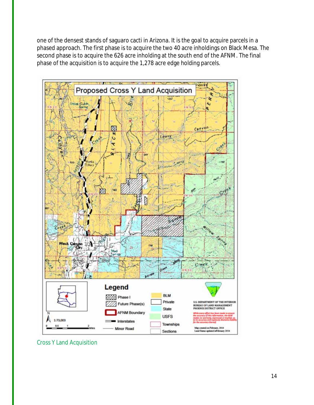one of the densest stands of saguaro cacti in Arizona. It is the goal to acquire parcels in a phased approach. The first phase is to acquire the two 40 acre inholdings on Black Mesa. The second phase is to acquire the 626 acre inholding at the south end of the AFNM. The final phase of the acquisition is to acquire the 1,278 acre edge holding parcels.



Cross Y Land Acquisition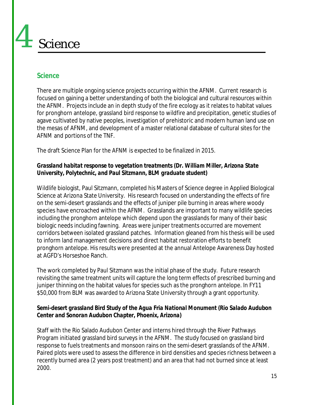## Science 4

#### **Science**

There are multiple ongoing science projects occurring within the AFNM. Current research is focused on gaining a better understanding of both the biological and cultural resources within the AFNM. Projects include an in depth study of the fire ecology as it relates to habitat values for pronghorn antelope, grassland bird response to wildfire and precipitation, genetic studies of agave cultivated by native peoples, investigation of prehistoric and modern human land use on the mesas of AFNM, and development of a master relational database of cultural sites for the AFNM and portions of the TNF.

The draft Science Plan for the AFNM is expected to be finalized in 2015.

#### *Grassland habitat response to vegetation treatments (Dr. William Miller, Arizona State University, Polytechnic, and Paul Sitzmann, BLM graduate student)*

Wildlife biologist, Paul Sitzmann, completed his Masters of Science degree in Applied Biological Science at Arizona State University. His research focused on understanding the effects of fire on the semi-desert grasslands and the effects of juniper pile burning in areas where woody species have encroached within the AFNM. Grasslands are important to many wildlife species including the pronghorn antelope which depend upon the grasslands for many of their basic biologic needs including fawning. Areas were juniper treatments occurred are movement corridors between isolated grassland patches. Information gleaned from his thesis will be used to inform land management decisions and direct habitat restoration efforts to benefit pronghorn antelope. His results were presented at the annual Antelope Awareness Day hosted at AGFD's Horseshoe Ranch.

The work completed by Paul Sitzmann was the initial phase of the study. Future research revisiting the same treatment units will capture the long term effects of prescribed burning and juniper thinning on the habitat values for species such as the pronghorn antelope. In FY11 \$50,000 from BLM was awarded to Arizona State University through a grant opportunity.

#### *Semi-desert grassland Bird Study of the Agua Fria National Monument (Rio Salado Audubon Center and Sonoran Audubon Chapter, Phoenix, Arizona)*

Staff with the Rio Salado Audubon Center and interns hired through the River Pathways Program initiated grassland bird surveys in the AFNM. The study focused on grassland bird response to fuels treatments and monsoon rains on the semi-desert grasslands of the AFNM. Paired plots were used to assess the difference in bird densities and species richness between a recently burned area (2 years post treatment) and an area that had not burned since at least 2000.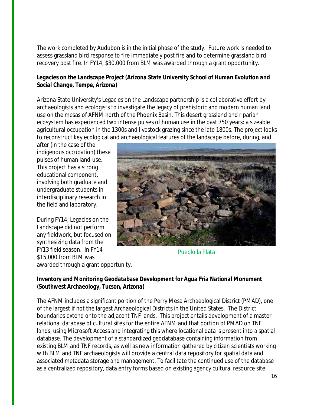The work completed by Audubon is in the initial phase of the study. Future work is needed to assess grassland bird response to fire immediately post fire and to determine grassland bird recovery post fire. In FY14, \$30,000 from BLM was awarded through a grant opportunity.

#### *Legacies on the Landscape Project (Arizona State University School of Human Evolution and Social Change, Tempe, Arizona)*

Arizona State University's Legacies on the Landscape partnership is a collaborative effort by archaeologists and ecologists to investigate the legacy of prehistoric and modern human land use on the mesas of AFNM north of the Phoenix Basin. This desert grassland and riparian ecosystem has experienced two intense pulses of human use in the past 750 years: a sizeable agricultural occupation in the 1300s and livestock grazing since the late 1800s. The project looks to reconstruct key ecological and archaeological features of the landscape before, during, and

after (in the case of the indigenous occupation) these pulses of human land-use. This project has a strong educational component, involving both graduate and undergraduate students in interdisciplinary research in the field and laboratory.

During FY14, Legacies on the Landscape did not perform any fieldwork, but focused on synthesizing data from the FY13 field season. In FY14 \$15,000 from BLM was awarded through a grant opportunity.



Pueblo la Plata

#### *Inventory and Monitoring Geodatabase Development for Agua Fria National Monument (Southwest Archaeology, Tucson, Arizona)*

The AFNM includes a significant portion of the Perry Mesa Archaeological District (PMAD), one of the largest if not the largest Archaeological Districts in the United States. The District boundaries extend onto the adjacent TNF lands. This project entails development of a master relational database of cultural sites for the entire AFNM and that portion of PMAD on TNF lands, using Microsoft Access and integrating this where locational data is present into a spatial database. The development of a standardized geodatabase containing information from existing BLM and TNF records, as well as new information gathered by citizen scientists working with BLM and TNF archaeologists will provide a central data repository for spatial data and associated metadata storage and management. To facilitate the continued use of the database as a centralized repository, data entry forms based on existing agency cultural resource site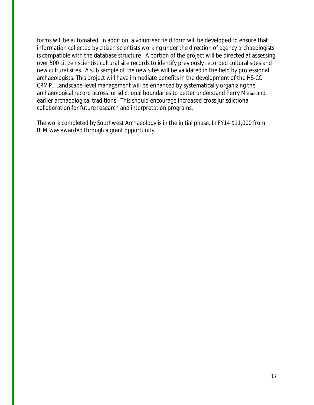forms will be automated. In addition, a volunteer field form will be developed to ensure that information collected by citizen scientists working under the direction of agency archaeologists is compatible with the database structure. A portion of the project will be directed at assessing over 500 citizen scientist cultural site records to identify previously recorded cultural sites and new cultural sites. A sub sample of the new sites will be validated in the field by professional archaeologists. This project will have immediate benefits in the development of the HS-CC CRMP. Landscape-level management will be enhanced by systematically organizing the archaeological record across jurisdictional boundaries to better understand Perry Mesa and earlier archaeological traditions. This should encourage increased cross jurisdictional collaboration for future research and interpretation programs.

The work completed by Southwest Archaeology is in the initial phase. In FY14 \$11,000 from BLM was awarded through a grant opportunity.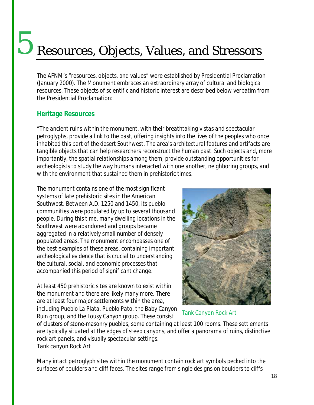## Resources, Objects, Values, and Stressors 5

The AFNM's "resources, objects, and values" were established by Presidential Proclamation (January 2000). The Monument embraces an extraordinary array of cultural and biological resources. These objects of scientific and historic interest are described below verbatim from the Presidential Proclamation:

### **Heritage Resources**

*"The ancient ruins within the monument, with their breathtaking vistas and spectacular petroglyphs, provide a link to the past, offering insights into the lives of the peoples who once inhabited this part of the desert Southwest. The area's architectural features and artifacts are tangible objects that can help researchers reconstruct the human past. Such objects and, more importantly, the spatial relationships among them, provide outstanding opportunities for archeologists to study the way humans interacted with one another, neighboring groups, and with the environment that sustained them in prehistoric times.*

*The monument contains one of the most significant systems of late prehistoric sites in the American Southwest. Between A.D. 1250 and 1450, its pueblo communities were populated by up to several thousand people. During this time, many dwelling locations in the Southwest were abandoned and groups became aggregated in a relatively small number of densely populated areas. The monument encompasses one of the best examples of these areas, containing important archeological evidence that is crucial to understanding the cultural, social, and economic processes that accompanied this period of significant change.*

*At least 450 prehistoric sites are known to exist within the monument and there are likely many more. There are at least four major settlements within the area, including Pueblo La Plata, Pueblo Pato, the Baby Canyon Ruin group, and the Lousy Canyon group. These consist* 



Tank Canyon Rock Art

*of clusters of stone-masonry pueblos, some containing at least 100 rooms. These settlements are typically situated at the edges of steep canyons, and offer a panorama of ruins, distinctive rock art panels, and visually spectacular settings. Tank canyon Rock Art*

*Many intact petroglyph sites within the monument contain rock art symbols pecked into the surfaces of boulders and cliff faces. The sites range from single designs on boulders to cliffs*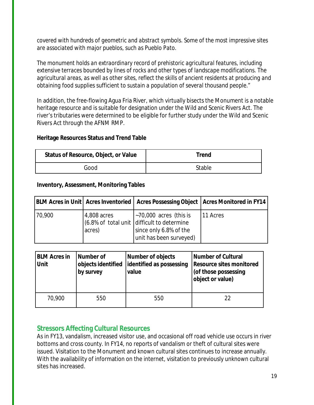*covered with hundreds of geometric and abstract symbols. Some of the most impressive sites are associated with major pueblos, such as Pueblo Pato.*

*The monument holds an extraordinary record of prehistoric agricultural features, including extensive terraces bounded by lines of rocks and other types of landscape modifications. The agricultural areas, as well as other sites, reflect the skills of ancient residents at producing and obtaining food supplies sufficient to sustain a population of several thousand people."* 

In addition, the free-flowing Agua Fria River, which virtually bisects the Monument is a notable heritage resource and is suitable for designation under the Wild and Scenic Rivers Act. The river's tributaries were determined to be eligible for further study under the Wild and Scenic Rivers Act through the AFNM RMP.

#### **Heritage Resources Status and Trend Table**

| Status of Resource, Object, or Value | Trend  |
|--------------------------------------|--------|
| Good                                 | Stable |

#### **Inventory, Assessment, Monitoring Tables**

|        |                       | BLM Acres in Unit   Acres Inventoried   Acres Possessing Object   Acres Monitored in FY14                                       |          |
|--------|-----------------------|---------------------------------------------------------------------------------------------------------------------------------|----------|
| 70,900 | 4,808 acres<br>acres) | $\sim$ 70,000 acres (this is<br>(6.8% of total unit difficult to determine<br>since only 6.8% of the<br>unit has been surveyed) | 11 Acres |

| <b>BLM Acres in</b><br>Unit | Number of<br>objects identified<br>by survey | Number of objects<br>dentified as possessing<br>value | <b>Number of Cultural</b><br>Resource sites monitored<br>(of those possessing<br>object or value) |
|-----------------------------|----------------------------------------------|-------------------------------------------------------|---------------------------------------------------------------------------------------------------|
| 70,900                      | 550                                          | 550                                                   | 22                                                                                                |

#### **Stressors Affecting Cultural Resources**

As in FY13, vandalism, increased visitor use, and occasional off road vehicle use occurs in river bottoms and cross county. In FY14, no reports of vandalism or theft of cultural sites were issued. Visitation to the Monument and known cultural sites continues to increase annually. With the availability of information on the internet, visitation to previously unknown cultural sites has increased.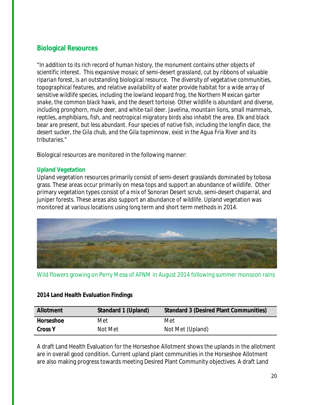### **Biological Resources**

*"In addition to its rich record of human history, the monument contains other objects of scientific interest. This expansive mosaic of semi-desert grassland, cut by ribbons of valuable riparian forest, is an outstanding biological resource. The diversity of vegetative communities, topographical features, and relative availability of water provide habitat for a wide array of sensitive wildlife species, including the lowland leopard frog, the Northern Mexican garter snake, the common black hawk, and the desert tortoise. Other wildlife is abundant and diverse, including pronghorn, mule deer, and white-tail deer. Javelina, mountain lions, small mammals, reptiles, amphibians, fish, and neotropical migratory birds also inhabit the area. Elk and black*  bear are present, but less abundant. Four species of native fish, including the longfin dace, the *desert sucker, the Gila chub, and the Gila topminnow, exist in the Agua Fria River and its tributaries."*

Biological resources are monitored in the following manner:

#### *Upland Vegetation*

Upland vegetation resources primarily consist of semi-desert grasslands dominated by tobosa grass. These areas occur primarily on mesa tops and support an abundance of wildlife. Other primary vegetation types consist of a mix of Sonoran Desert scrub, semi-desert chaparral, and juniper forests. These areas also support an abundance of wildlife. Upland vegetation was monitored at various locations using long term and short term methods in 2014.



Wild flowers growing on Perry Mesa of AFNM in August 2014 following summer monsoon rains

#### **2014 Land Health Evaluation Findings**

| Allotment      | Standard 1 (Upland) | <b>Standard 3 (Desired Plant Communities)</b> |
|----------------|---------------------|-----------------------------------------------|
| Horseshoe      | Met                 | Met                                           |
| <b>Cross Y</b> | Not Met             | Not Met (Upland)                              |

A draft Land Health Evaluation for the Horseshoe Allotment shows the uplands in the allotment are in overall good condition. Current upland plant communities in the Horseshoe Allotment are also making progress towards meeting Desired Plant Community objectives. A draft Land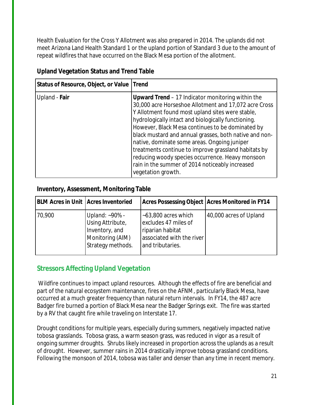Health Evaluation for the Cross Y Allotment was also prepared in 2014. The uplands did not meet Arizona Land Health Standard 1 or the upland portion of Standard 3 due to the amount of repeat wildfires that have occurred on the Black Mesa portion of the allotment.

| Status of Resource, Object, or Value Trend |                                                                                                                                                                                                                                                                                                                                                                                                                                                                                                                                                                          |
|--------------------------------------------|--------------------------------------------------------------------------------------------------------------------------------------------------------------------------------------------------------------------------------------------------------------------------------------------------------------------------------------------------------------------------------------------------------------------------------------------------------------------------------------------------------------------------------------------------------------------------|
| Upland - Fair                              | Upward Trend – 17 Indicator monitoring within the<br>30,000 acre Horseshoe Allotment and 17,072 acre Cross<br>Y Allotment found most upland sites were stable,<br>hydrologically intact and biologically functioning.<br>However, Black Mesa continues to be dominated by<br>black mustard and annual grasses, both native and non-<br>native, dominate some areas. Ongoing juniper<br>treatments continue to improve grassland habitats by<br>reducing woody species occurrence. Heavy monsoon<br>rain in the summer of 2014 noticeably increased<br>vegetation growth. |

#### **Upland Vegetation Status and Trend Table**

#### **Inventory, Assessment, Monitoring Table**

| <b>BLM Acres in Unit   Acres Inventoried</b> |                                                                                               |                                                                                                                    | Acres Possessing Object   Acres Monitored in FY14 |
|----------------------------------------------|-----------------------------------------------------------------------------------------------|--------------------------------------------------------------------------------------------------------------------|---------------------------------------------------|
| 70,900                                       | Upland: ~90% -<br>Using Attribute,<br>Inventory, and<br>Monitoring (AIM)<br>Strategy methods. | $-63,800$ acres which<br>excludes 47 miles of<br>riparian habitat<br>associated with the river<br>and tributaries. | 40,000 acres of Upland                            |

## **Stressors Affecting Upland Vegetation**

Wildfire continues to impact upland resources. Although the effects of fire are beneficial and part of the natural ecosystem maintenance, fires on the AFNM, particularly Black Mesa, have occurred at a much greater frequency than natural return intervals. In FY14, the 487 acre Badger fire burned a portion of Black Mesa near the Badger Springs exit. The fire was started by a RV that caught fire while traveling on Interstate 17.

Drought conditions for multiple years, especially during summers, negatively impacted native tobosa grasslands. Tobosa grass, a warm season grass, was reduced in vigor as a result of ongoing summer droughts. Shrubs likely increased in proportion across the uplands as a result of drought. However, summer rains in 2014 drastically improve tobosa grassland conditions. Following the monsoon of 2014, tobosa was taller and denser than any time in recent memory.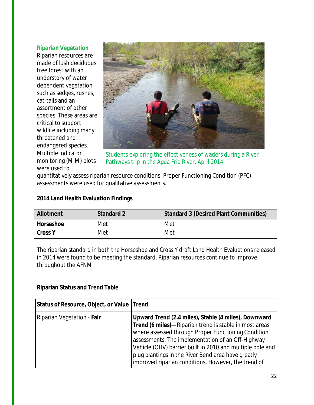#### *Riparian Vegetation*

Riparian resources are made of lush deciduous tree forest with an understory of water dependent vegetation such as sedges, rushes, cat-tails and an assortment of other species. These areas are critical to support wildlife including many threatened and endangered species. Multiple indicator monitoring (MIM) plots were used to



Students exploring the effectiveness of waders during a River Pathways trip in the Agua Fria River, April 2014.

quantitatively assess riparian resource conditions. Proper Functioning Condition (PFC) assessments were used for qualitative assessments.

#### **2014 Land Health Evaluation Findings**

| <b>Allotment</b> | Standard 2 | <b>Standard 3 (Desired Plant Communities)</b> |
|------------------|------------|-----------------------------------------------|
| Horseshoe        | Met        | Met                                           |
| <b>Cross Y</b>   | Met        | Met                                           |

The riparian standard in both the Horseshoe and Cross Y draft Land Health Evaluations released in 2014 were found to be meeting the standard. Riparian resources continue to improve throughout the AFNM.

#### **Riparian Status and Trend Table**

| Status of Resource, Object, or Value   Trend |                                                                                                                                                                                                                                                                                                                                                                                                      |
|----------------------------------------------|------------------------------------------------------------------------------------------------------------------------------------------------------------------------------------------------------------------------------------------------------------------------------------------------------------------------------------------------------------------------------------------------------|
| Riparian Vegetation - Fair                   | Upward Trend (2.4 miles), Stable (4 miles), Downward<br>Trend (6 miles)-Riparian trend is stable in most areas<br>where assessed through Proper Functioning Condition<br>assessments. The implementation of an Off-Highway<br>Vehicle (OHV) barrier built in 2010 and multiple pole and<br>plug plantings in the River Bend area have greatly<br>improved riparian conditions. However, the trend of |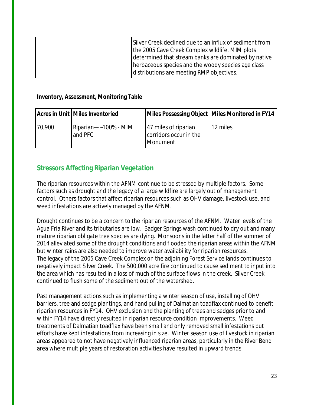| Silver Creek declined due to an influx of sediment from<br>the 2005 Cave Creek Complex wildlife. MIM plots<br>determined that stream banks are dominated by native<br>herbaceous species and the woody species age class<br>distributions are meeting RMP objectives. |
|-----------------------------------------------------------------------------------------------------------------------------------------------------------------------------------------------------------------------------------------------------------------------|
|-----------------------------------------------------------------------------------------------------------------------------------------------------------------------------------------------------------------------------------------------------------------------|

#### **Inventory, Assessment, Monitoring Table**

|        | Acres in Unit   Miles Inventoried       |                                                             | Miles Possessing Object   Miles Monitored in FY14 |
|--------|-----------------------------------------|-------------------------------------------------------------|---------------------------------------------------|
| 70,900 | <i>Riparian</i> —~100% - MIM<br>and PFC | 47 miles of riparian<br>corridors occur in the<br>Monument. | 12 miles                                          |

### **Stressors Affecting Riparian Vegetation**

The riparian resources within the AFNM continue to be stressed by multiple factors. Some factors such as drought and the legacy of a large wildfire are largely out of management control. Others factors that affect riparian resources such as OHV damage, livestock use, and weed infestations are actively managed by the AFNM.

Drought continues to be a concern to the riparian resources of the AFNM. Water levels of the Agua Fria River and its tributaries are low. Badger Springs wash continued to dry out and many mature riparian obligate tree species are dying. Monsoons in the latter half of the summer of 2014 alleviated some of the drought conditions and flooded the riparian areas within the AFNM but winter rains are also needed to improve water availability for riparian resources. The legacy of the 2005 Cave Creek Complex on the adjoining Forest Service lands continues to negatively impact Silver Creek. The 500,000 acre fire continued to cause sediment to input into the area which has resulted in a loss of much of the surface flows in the creek. Silver Creek continued to flush some of the sediment out of the watershed.

Past management actions such as implementing a winter season of use, installing of OHV barriers, tree and sedge plantings, and hand pulling of Dalmatian toadflax continued to benefit riparian resources in FY14. OHV exclusion and the planting of trees and sedges prior to and within FY14 have directly resulted in riparian resource condition improvements. Weed treatments of Dalmatian toadflax have been small and only removed small infestations but efforts have kept infestations from increasing in size. Winter season use of livestock in riparian areas appeared to not have negatively influenced riparian areas, particularly in the River Bend area where multiple years of restoration activities have resulted in upward trends.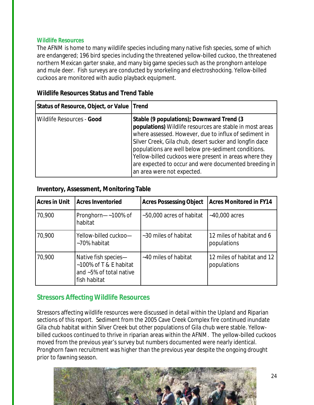#### *Wildlife Resources*

The AFNM is home to many wildlife species including many native fish species, some of which are endangered; 196 bird species including the threatened yellow-billed cuckoo, the threatened northern Mexican garter snake, and many big game species such as the pronghorn antelope and mule deer. Fish surveys are conducted by snorkeling and electroshocking. Yellow-billed cuckoos are monitored with audio playback equipment.

| Status of Resource, Object, or Value | <b>Trend</b>                                                                                                                                                                                                                                                                                                                                                                                                                      |
|--------------------------------------|-----------------------------------------------------------------------------------------------------------------------------------------------------------------------------------------------------------------------------------------------------------------------------------------------------------------------------------------------------------------------------------------------------------------------------------|
| Wildlife Resources - Good            | Stable (9 populations); Downward Trend (3<br>populations) Wildlife resources are stable in most areas<br>where assessed. However, due to influx of sediment in<br>Silver Creek, Gila chub, desert sucker and longfin dace<br>populations are well below pre-sediment conditions.<br>Yellow-billed cuckoos were present in areas where they<br>are expected to occur and were documented breeding in<br>an area were not expected. |

#### **Wildlife Resources Status and Trend Table**

#### **Inventory, Assessment, Monitoring Table**

| <b>Acres in Unit</b> | <b>Acres Inventoried</b>                                                                  | <b>Acres Possessing Object</b> | <b>Acres Monitored in FY14</b>            |
|----------------------|-------------------------------------------------------------------------------------------|--------------------------------|-------------------------------------------|
| 70,900               | Pronghorn--100% of<br>habitat                                                             | ~50,000 acres of habitat       | $~10,000$ acres                           |
| 70,900               | Yellow-billed cuckoo-<br>~70% habitat                                                     | ~30 miles of habitat           | 12 miles of habitat and 6<br>populations  |
| 70,900               | Native fish species-<br>~100% of T & E habitat<br>and ~5% of total native<br>fish habitat | ~40 miles of habitat           | 12 miles of habitat and 12<br>populations |

#### **Stressors Affecting Wildlife Resources**

Stressors affecting wildlife resources were discussed in detail within the Upland and Riparian sections of this report. Sediment from the 2005 Cave Creek Complex fire continued inundate Gila chub habitat within Silver Creek but other populations of Gila chub were stable. Yellowbilled cuckoos continued to thrive in riparian areas within the AFNM. The yellow-billed cuckoos moved from the previous year's survey but numbers documented were nearly identical. Pronghorn fawn recruitment was higher than the previous year despite the ongoing drought prior to fawning season.

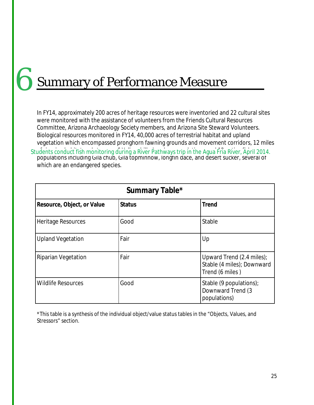## Summary of Performance Measure 6

In FY14, approximately 200 acres of heritage resources were inventoried and 22 cultural sites were monitored with the assistance of volunteers from the Friends Cultural Resources Committee, Arizona Archaeology Society members, and Arizona Site Steward Volunteers. Biological resources monitored in FY14, 40,000 acres of terrestrial habitat and upland vegetation which encompassed pronghorn fawning grounds and movement corridors, 12 miles

of riparity conduct fish monitoring during a River Pathways trip in the Agua Fria River. Apri populations including Gila chub, Gila topminnow, longfin dace, and desert sucker, several of which are an endangered species. Students conduct fish monitoring during a River Pathways trip in the Agua Fria River, April 2014.

| Summary Table*             |               |                                                                            |  |
|----------------------------|---------------|----------------------------------------------------------------------------|--|
| Resource, Object, or Value | <b>Status</b> | <b>Trend</b>                                                               |  |
| Heritage Resources         | Good          | Stable                                                                     |  |
| <b>Upland Vegetation</b>   | Fair          | Up                                                                         |  |
| <b>Riparian Vegetation</b> | Fair          | Upward Trend (2.4 miles);<br>Stable (4 miles); Downward<br>Trend (6 miles) |  |
| <b>Wildlife Resources</b>  | Good          | Stable (9 populations);<br>Downward Trend (3<br>populations)               |  |

\*This table is a synthesis of the individual object/value status tables in the "Objects, Values, and Stressors" section.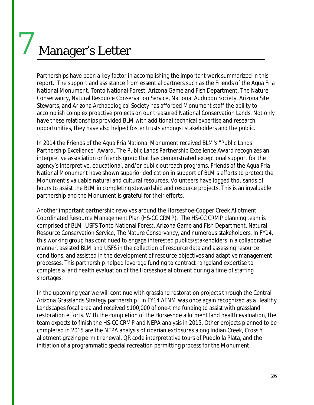## Manager's Letter 7

Partnerships have been a key factor in accomplishing the important work summarized in this report. The support and assistance from essential partners such as the Friends of the Agua Fria National Monument, Tonto National Forest, Arizona Game and Fish Department, The Nature Conservancy, Natural Resource Conservation Service, National Audubon Society, Arizona Site Stewarts, and Arizona Archaeological Society has afforded Monument staff the ability to accomplish complex proactive projects on our treasured National Conservation Lands. Not only have these relationships provided BLM with additional technical expertise and research opportunities, they have also helped foster trusts amongst stakeholders and the public.

In 2014 the Friends of the Agua Fria National Monument received BLM's "Public Lands Partnership Excellence" Award. The Public Lands Partnership Excellence Award recognizes an interpretive association or friends group that has demonstrated exceptional support for the agency's interpretive, educational, and/or public outreach programs. Friends of the Agua Fria National Monument have shown superior dedication in support of BLM's efforts to protect the Monument's valuable natural and cultural resources. Volunteers have logged thousands of hours to assist the BLM in completing stewardship and resource projects. This is an invaluable partnership and the Monument is grateful for their efforts.

Another important partnership revolves around the Horseshoe-Copper Creek Allotment Coordinated Resource Management Plan (HS-CC CRMP). The HS-CC CRMP planning team is comprised of BLM, USFS Tonto National Forest, Arizona Game and Fish Department, Natural Resource Conservation Service, The Nature Conservancy, and numerous stakeholders. In FY14, this working group has continued to engage interested publics/stakeholders in a collaborative manner, assisted BLM and USFS in the collection of resource data and assessing resource conditions, and assisted in the development of resource objectives and adaptive management processes. This partnership helped leverage funding to contract rangeland expertise to complete a land health evaluation of the Horseshoe allotment during a time of staffing shortages.

In the upcoming year we will continue with grassland restoration projects through the Central Arizona Grasslands Strategy partnership. In FY14 AFNM was once again recognized as a Healthy Landscapes focal area and received \$100,000 of one-time funding to assist with grassland restoration efforts. With the completion of the Horseshoe allotment land health evaluation, the team expects to finish the HS-CC CRMP and NEPA analysis in 2015. Other projects planned to be completed in 2015 are the NEPA analysis of riparian exclosures along Indian Creek, Cross Y allotment grazing permit renewal, QR code interpretative tours of Pueblo la Plata, and the initiation of a programmatic special recreation permitting process for the Monument.